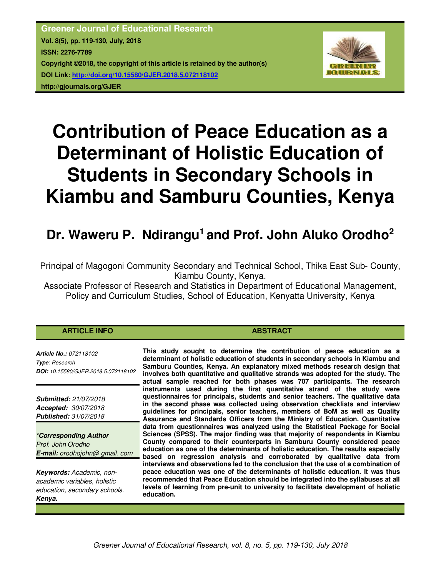**Greener Journal of Educational Research Vol. 8(5), pp. 119-130, July, 2018 ISSN: 2276-7789 Copyright ©2018, the copyright of this article is retained by the author(s) DOI Link: http://doi.org/10.15580/GJER.2018.5.072118102 http://gjournals.org/GJER**



# **Contribution of Peace Education as a Determinant of Holistic Education of Students in Secondary Schools in Kiambu and Samburu Counties, Kenya**

# **Dr. Waweru P. Ndirangu<sup>1</sup>and Prof. John Aluko Orodho<sup>2</sup>**

Principal of Magogoni Community Secondary and Technical School, Thika East Sub- County, Kiambu County, Kenya.

Associate Professor of Research and Statistics in Department of Educational Management, Policy and Curriculum Studies, School of Education, Kenyatta University, Kenya

*Article No.: 072118102 Type*: *Research DOI: 10.15580/GJER.2018.5.072118102*

*Submitted: 21/07/2018 Accepted: 30/07/2018 Published: 31/07/2018*

*\*Corresponding Author Prof. John Orodho E-mail: orodhojohn@ gmail. com*

*Keywords: Academic, nonacademic variables, holistic education, secondary schools. Kenya.*

**This study sought to determine the contribution of peace education as a determinant of holistic education of students in secondary schools in Kiambu and Samburu Counties, Kenya. An explanatory mixed methods research design that involves both quantitative and qualitative strands was adopted for the study. The actual sample reached for both phases was 707 participants. The research instruments used during the first quantitative strand of the study were questionnaires for principals, students and senior teachers. The qualitative data in the second phase was collected using observation checklists and interview guidelines for principals, senior teachers, members of BoM as well as Quality Assurance and Standards Officers from the Ministry of Education. Quantitative data from questionnaires was analyzed using the Statistical Package for Social Sciences (SPSS). The major finding was that majority of respondents in Kiambu County compared to their counterparts in Samburu County considered peace education as one of the determinants of holistic education. The results especially based on regression analysis and corroborated by qualitative data from interviews and observations led to the conclusion that the use of a combination of peace education was one of the determinants of holistic education. It was thus recommended that Peace Education should be integrated into the syllabuses at all levels of learning from pre-unit to university to facilitate development of holistic education.** 

**ABSTRACT**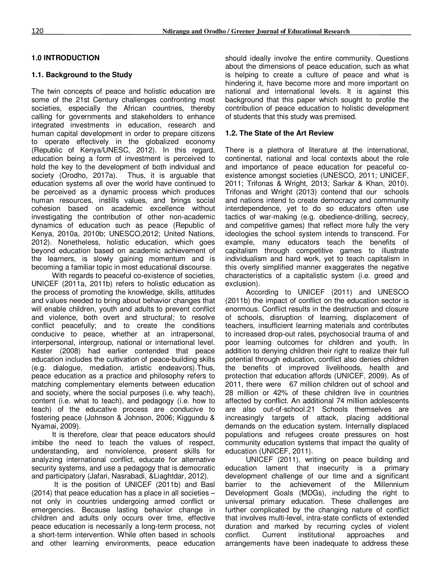# **1.0 INTRODUCTION**

#### **1.1. Background to the Study**

The twin concepts of peace and holistic education are some of the 21st Century challenges confronting most societies, especially the African countries, thereby calling for governments and stakeholders to enhance integrated investments in education, research and human capital development in order to prepare citizens to operate effectively in the globalized economy (Republic of Kenya/UNESC, 2012). In this regard, education being a form of investment is perceived to hold the key to the development of both individual and society (Orodho, 2017a). Thus, it is arguable that education systems all over the world have continued to be perceived as a dynamic process which produces human resources, instills values, and brings social cohesion based on academic excellence without investigating the contribution of other non-academic dynamics of education such as peace (Republic of Kenya, 2010a, 2010b; UNESCO,2012; United Nations, 2012). Nonetheless, holistic education, which goes beyond education based on academic achievement of the learners, is slowly gaining momentum and is becoming a familiar topic in most educational discourse.

With regards to peaceful co-existence of societies, UNICEF (2011a, 2011b) refers to holistic education as the process of promoting the knowledge, skills, attitudes and values needed to bring about behavior changes that will enable children, youth and adults to prevent conflict and violence, both overt and structural; to resolve conflict peacefully; and to create the conditions conducive to peace, whether at an intrapersonal, interpersonal, intergroup, national or international level. Kester (2008) had earlier contended that peace education includes the cultivation of peace-building skills (e.g. dialogue, mediation, artistic endeavors).Thus, peace education as a practice and philosophy refers to matching complementary elements between education and society, where the social purposes (i.e. why teach), content (i.e. what to teach), and pedagogy (i.e. how to teach) of the educative process are conducive to fostering peace (Johnson & Johnson, 2006; Kiggundu & Nyamai, 2009).

It is therefore, clear that peace educators should imbibe the need to teach the values of respect, understanding, and nonviolence, present skills for analyzing international conflict, educate for alternative security systems, and use a pedagogy that is democratic and participatory (Jafari, Nasrabadi, &Liaghtdar, 2012).

 It is the position of UNICEF (2011b) and Basl (2014) that peace education has a place in all societies – not only in countries undergoing armed conflict or emergencies. Because lasting behavior change in children and adults only occurs over time, effective peace education is necessarily a long-term process, not a short-term intervention. While often based in schools and other learning environments, peace education

should ideally involve the entire community. Questions about the dimensions of peace education, such as what is helping to create a culture of peace and what is hindering it, have become more and more important on national and international levels. It is against this background that this paper which sought to profile the contribution of peace education to holistic development of students that this study was premised.

#### **1.2. The State of the Art Review**

There is a plethora of literature at the international, continental, national and local contexts about the role and importance of peace education for peaceful coexistence amongst societies (UNESCO, 2011; UNICEF, 2011; Trifonas & Wright, 2013; Sarkar & Khan, 2010). Trifonas and Wright (2013) contend that our schools and nations intend to create democracy and community interdependence, yet to do so educators often use tactics of war-making (e.g. obedience-drilling, secrecy, and competitive games) that reflect more fully the very ideologies the school system intends to transcend. For example, many educators teach the benefits of capitalism through competitive games to illustrate individualism and hard work, yet to teach capitalism in this overly simplified manner exaggerates the negative characteristics of a capitalistic system (i.e. greed and exclusion).

According to UNICEF (2011) and UNESCO (2011b) the impact of conflict on the education sector is enormous. Conflict results in the destruction and closure of schools, disruption of learning, displacement of teachers, insufficient learning materials and contributes to increased drop-out rates, psychosocial trauma of and poor learning outcomes for children and youth. In addition to denying children their right to realize their full potential through education, conflict also denies children the benefits of improved livelihoods, health and protection that education affords (UNICEF, 2009). As of 2011, there were 67 million children out of school and 28 million or 42% of these children live in countries affected by conflict. An additional 74 million adolescents are also out-of-school.21 Schools themselves are increasingly targets of attack, placing additional demands on the education system. Internally displaced populations and refugees create pressures on host community education systems that impact the quality of education (UNICEF, 2011).

UNICEF (2011), writing on peace building and education lament that insecurity is a primary development challenge of our time and a significant barrier to the achievement of the Millennium Development Goals (MDGs), including the right to universal primary education. These challenges are further complicated by the changing nature of conflict that involves multi-level, intra-state conflicts of extended duration and marked by recurring cycles of violent conflict. Current institutional approaches and arrangements have been inadequate to address these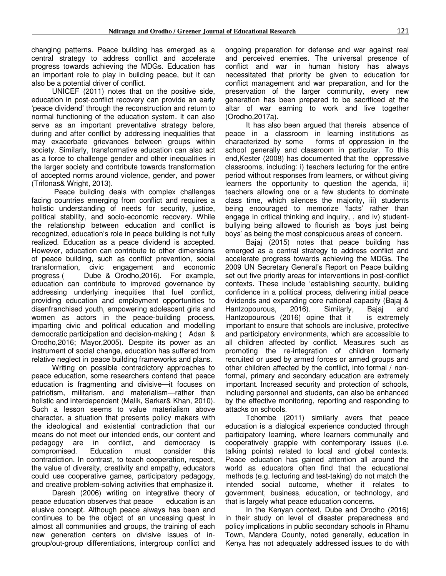changing patterns. Peace building has emerged as a central strategy to address conflict and accelerate progress towards achieving the MDGs. Education has an important role to play in building peace, but it can also be a potential driver of conflict.

UNICEF (2011) notes that on the positive side, education in post-conflict recovery can provide an early 'peace dividend' through the reconstruction and return to normal functioning of the education system. It can also serve as an important preventative strategy before, during and after conflict by addressing inequalities that may exacerbate grievances between groups within society. Similarly, transformative education can also act as a force to challenge gender and other inequalities in the larger society and contribute towards transformation of accepted norms around violence, gender, and power (Trifonas& Wright, 2013).

 Peace building deals with complex challenges facing countries emerging from conflict and requires a holistic understanding of needs for security, justice, political stability, and socio-economic recovery. While the relationship between education and conflict is recognized, education's role in peace building is not fully realized. Education as a peace dividend is accepted. However, education can contribute to other dimensions of peace building, such as conflict prevention, social transformation, civic engagement and economic progress ( Dube & Orodho, 2016). For example, education can contribute to improved governance by addressing underlying inequities that fuel conflict, providing education and employment opportunities to disenfranchised youth, empowering adolescent girls and women as actors in the peace-building process, imparting civic and political education and modelling democratic participation and decision-making ( Adan & Orodho,2016; Mayor,2005). Despite its power as an instrument of social change, education has suffered from relative neglect in peace building frameworks and plans.

Writing on possible contradictory approaches to peace education, some researchers contend that peace education is fragmenting and divisive—it focuses on patriotism, militarism, and materialism—rather than holistic and interdependent (Malik, Sarkar& Khan, 2010). Such a lesson seems to value materialism above character, a situation that presents policy makers with the ideological and existential contradiction that our means do not meet our intended ends, our content and pedagogy are in conflict, and democracy is compromised. Education must consider this contradiction. In contrast, to teach cooperation, respect, the value of diversity, creativity and empathy, educators could use cooperative games, participatory pedagogy, and creative problem-solving activities that emphasize it.

Daresh (2006) writing on integrative theory of peace education observes that peace education is an elusive concept. Although peace always has been and continues to be the object of an unceasing quest in almost all communities and groups, the training of each new generation centers on divisive issues of ingroup/out-group differentiations, intergroup conflict and

ongoing preparation for defense and war against real and perceived enemies. The universal presence of conflict and war in human history has always necessitated that priority be given to education for conflict management and war preparation, and for the preservation of the larger community, every new generation has been prepared to be sacrificed at the altar of war earning to work and live together (Orodho,2017a).

It has also been argued that thereis absence of peace in a classroom in learning institutions as characterized by some forms of oppression in the school generally and classroom in particular. To this end,Kester (2008) has documented that the oppressive classrooms, including: i) teachers lecturing for the entire period without responses from learners, or without giving learners the opportunity to question the agenda, ii) teachers allowing one or a few students to dominate class time, which silences the majority, iii) students being encouraged to memorize 'facts' rather than engage in critical thinking and inquiry, , and iv) studentbullying being allowed to flourish as 'boys just being boys' as being the most conspicuous areas of concern.

Bajaj (2015) notes that peace building has emerged as a central strategy to address conflict and accelerate progress towards achieving the MDGs. The 2009 UN Secretary General's Report on Peace building set out five priority areas for interventions in post-conflict contexts. These include 'establishing security, building confidence in a political process, delivering initial peace dividends and expanding core national capacity (Bajaj & Hantzopourous, 2016). Similarly, Bajaj and Hantzopourous (2016) opine that it is extremely important to ensure that schools are inclusive, protective and participatory environments, which are accessible to all children affected by conflict. Measures such as promoting the re-integration of children formerly recruited or used by armed forces or armed groups and other children affected by the conflict, into formal / nonformal, primary and secondary education are extremely important. Increased security and protection of schools, including personnel and students, can also be enhanced by the effective monitoring, reporting and responding to attacks on schools.

Tchombe (2011) similarly avers that peace education is a dialogical experience conducted through participatory learning, where learners communally and cooperatively grapple with contemporary issues (i.e. talking points) related to local and global contexts. Peace education has gained attention all around the world as educators often find that the educational methods (e.g. lecturing and test-taking) do not match the intended social outcome, whether it relates to government, business, education, or technology, and that is largely what peace education concerns.

In the Kenyan context, Dube and Orodho (2016) in their study on level of disaster preparedness and policy implications in public secondary schools in Rhamu Town, Mandera County, noted generally, education in Kenya has not adequately addressed issues to do with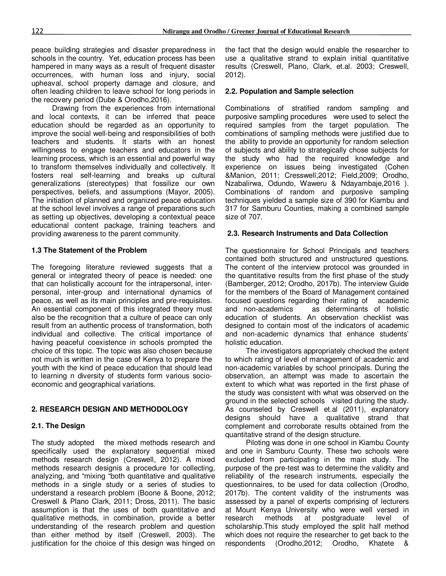peace building strategies and disaster preparedness in schools in the country. Yet, education process has been hampered in many ways as a result of frequent disaster occurrences, with human loss and injury, social upheaval, school property damage and closure, and often leading children to leave school for long periods in the recovery period (Dube & Orodho,2016).

Drawing from the experiences from international and local contexts, it can be inferred that peace education should be regarded as an opportunity to improve the social well-being and responsibilities of both teachers and students. It starts with an honest willingness to engage teachers and educators in the learning process, which is an essential and powerful way to transform themselves individually and collectively. It fosters real self-learning and breaks up cultural generalizations (stereotypes) that fossilize our own perspectives, beliefs, and assumptions (Mayor, 2005). The initiation of planned and organized peace education at the school level involves a range of preparations such as setting up objectives, developing a contextual peace educational content package, training teachers and providing awareness to the parent community.

#### **1.3 The Statement of the Problem**

The foregoing literature reviewed suggests that a general or integrated theory of peace is needed: one that can holistically account for the intrapersonal, interpersonal, inter-group and international dynamics of peace, as well as its main principles and pre-requisites. An essential component of this integrated theory must also be the recognition that a culture of peace can only result from an authentic process of transformation, both individual and collective. The critical importance of having peaceful coexistence in schools prompted the choice of this topic. The topic was also chosen because not much is written in the case of Kenya to prepare the youth with the kind of peace education that should lead to learning n diversity of students form various socioeconomic and geographical variations.

## **2. RESEARCH DESIGN AND METHODOLOGY**

## **2.1. The Design**

The study adopted the mixed methods research and specifically used the explanatory sequential mixed methods research design (Creswell, 2012). A mixed methods research designis a procedure for collecting, analyzing, and "mixing "both quantitative and qualitative methods in a single study or a series of studies to understand a research problem (Boone & Boone, 2012; Creswell & Plano Clark, 2011; Dross, 2011). The basic assumption is that the uses of both quantitative and qualitative methods, in combination, provide a better understanding of the research problem and question than either method by itself (Creswell, 2003). The justification for the choice of this design was hinged on the fact that the design would enable the researcher to use a qualitative strand to explain initial quantitative results (Creswell, Plano, Clark, et.al. 2003; Creswell, 2012).

#### **2.2. Population and Sample selection**

Combinations of stratified random sampling and purposive sampling procedures were used to select the required samples from the target population. The combinations of sampling methods were justified due to the ability to provide an opportunity for random selection of subjects and ability to strategically chose subjects for the study who had the required knowledge and experience on issues being investigated (Cohen &Manion, 2011; Cresswell,2012; Field,2009; Orodho, Nzabalirwa, Odundo, Waweru & Ndayambaje,2016 ). Combinations of random and purposive sampling techniques yielded a sample size of 390 for Kiambu and 317 for Samburu Counties, making a combined sample size of 707.

#### **2.3. Research Instruments and Data Collection**

The questionnaire for School Principals and teachers contained both structured and unstructured questions. The content of the interview protocol was grounded in the quantitative results from the first phase of the study (Bamberger, 2012; Orodho, 2017b). The interview Guide for the members of the Board of Management contained focused questions regarding their rating of academic and non-academics as determinants of holistic education of students. An observation checklist was designed to contain most of the indicators of academic and non-academic dynamics that enhance students' holistic education.

The investigators appropriately checked the extent to which rating of level of management of academic and non-academic variables by school principals. During the observation, an attempt was made to ascertain the extent to which what was reported in the first phase of the study was consistent with what was observed on the ground in the selected schools visited during the study. As counseled by Creswell et.al (2011), explanatory designs should have a qualitative strand that complement and corroborate results obtained from the quantitative strand of the design structure.

Piloting was done in one school in Kiambu County and one in Samburu County. These two schools were excluded from participating in the main study. The purpose of the pre-test was to determine the validity and reliability of the research instruments, especially the questionnaires, to be used for data collection (Orodho, 2017b). The content validity of the instruments was assessed by a panel of experts comprising of lecturers at Mount Kenya University who were well versed in research methods at postgraduate level of scholarship.This study employed the split half method which does not require the researcher to get back to the respondents (Orodho,2012; Orodho, Khatete &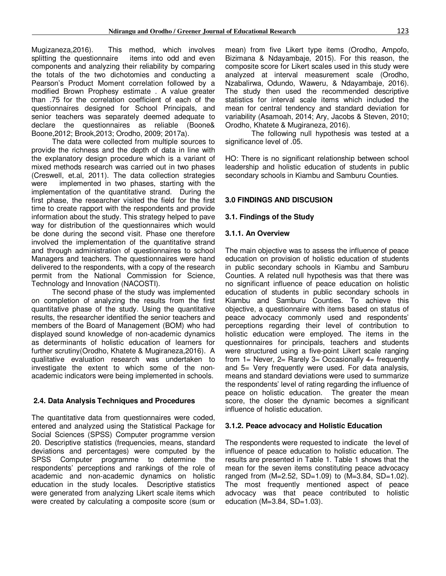Mugizaneza,2016). This method, which involves splitting the questionnaire components and analyzing their reliability by comparing the totals of the two dichotomies and conducting a Pearson's Product Moment correlation followed by a modified Brown Prophesy estimate . A value greater than .75 for the correlation coefficient of each of the questionnaires designed for School Principals, and senior teachers was separately deemed adequate to declare the questionnaires as reliable (Boone& Boone,2012; Brook,2013; Orodho, 2009; 2017a).

The data were collected from multiple sources to provide the richness and the depth of data in line with the explanatory design procedure which is a variant of mixed methods research was carried out in two phases (Creswell, et.al, 2011). The data collection strategies were implemented in two phases, starting with the implementation of the quantitative strand. During the first phase, the researcher visited the field for the first time to create rapport with the respondents and provide information about the study. This strategy helped to pave way for distribution of the questionnaires which would be done during the second visit. Phase one therefore involved the implementation of the quantitative strand and through administration of questionnaires to school Managers and teachers. The questionnaires were hand delivered to the respondents, with a copy of the research permit from the National Commission for Science, Technology and Innovation (NACOSTI).

The second phase of the study was implemented on completion of analyzing the results from the first quantitative phase of the study. Using the quantitative results, the researcher identified the senior teachers and members of the Board of Management (BOM) who had displayed sound knowledge of non-academic dynamics as determinants of holistic education of learners for further scrutiny(Orodho, Khatete & Mugiraneza,2016). A qualitative evaluation research was undertaken to investigate the extent to which some of the nonacademic indicators were being implemented in schools.

#### **2.4. Data Analysis Techniques and Procedures**

The quantitative data from questionnaires were coded, entered and analyzed using the Statistical Package for Social Sciences (SPSS) Computer programme version 20. Descriptive statistics (frequencies, means, standard deviations and percentages) were computed by the<br>SPSS Computer programme to determine the Computer programme to determine the respondents' perceptions and rankings of the role of academic and non-academic dynamics on holistic education in the study locales. Descriptive statistics were generated from analyzing Likert scale items which were created by calculating a composite score (sum or

mean) from five Likert type items (Orodho, Ampofo, Bizimana & Ndayambaje, 2015). For this reason, the composite score for Likert scales used in this study were analyzed at interval measurement scale (Orodho, Nzabalirwa, Odundo, Waweru, & Ndayambaje, 2016). The study then used the recommended descriptive statistics for interval scale items which included the mean for central tendency and standard deviation for variability (Asamoah, 2014; Ary, Jacobs & Steven, 2010; Orodho, Khatete & Mugiraneza, 2016).

The following null hypothesis was tested at a significance level of .05.

HO: There is no significant relationship between school leadership and holistic education of students in public secondary schools in Kiambu and Samburu Counties.

#### **3.0 FINDINGS AND DISCUSION**

#### **3.1. Findings of the Study**

#### **3.1.1. An Overview**

The main objective was to assess the influence of peace education on provision of holistic education of students in public secondary schools in Kiambu and Samburu Counties. A related null hypothesis was that there was no significant influence of peace education on holistic education of students in public secondary schools in Kiambu and Samburu Counties. To achieve this objective, a questionnaire with items based on status of peace advocacy commonly used and respondents' perceptions regarding their level of contribution to holistic education were employed. The items in the questionnaires for principals, teachers and students were structured using a five-point Likert scale ranging from  $1=$  Never,  $2=$  Rarely  $3=$  Occasionally  $4=$  frequently and 5= Very frequently were used. For data analysis, means and standard deviations were used to summarize the respondents' level of rating regarding the influence of peace on holistic education. The greater the mean score, the closer the dynamic becomes a significant influence of holistic education.

#### **3.1.2. Peace advocacy and Holistic Education**

The respondents were requested to indicate the level of influence of peace education to holistic education. The results are presented in Table 1. Table 1 shows that the mean for the seven items constituting peace advocacy ranged from (M=2.52, SD=1.09) to (M=3.84, SD=1.02). The most frequently mentioned aspect of peace advocacy was that peace contributed to holistic education  $(M=3.84, SD=1.03)$ .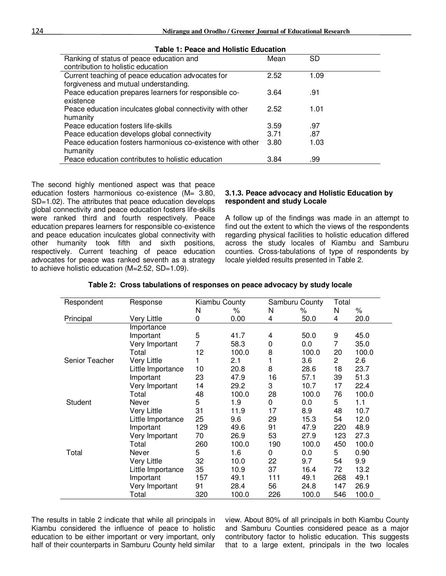| Mean | <b>SD</b> |
|------|-----------|
|      |           |
| 2.52 | 1.09      |
|      |           |
| 3.64 | .91       |
|      |           |
| 2.52 | 1.01      |
|      |           |
| 3.59 | .97       |
| 3.71 | .87       |
| 3.80 | 1.03      |
|      |           |
| 3.84 | .99       |
|      |           |

#### **Table 1: Peace and Holistic Education**

The second highly mentioned aspect was that peace education fosters harmonious co-existence (M= 3.80, SD=1.02). The attributes that peace education develops global connectivity and peace education fosters life-skills were ranked third and fourth respectively. Peace education prepares learners for responsible co-existence and peace education inculcates global connectivity with other humanity took fifth and sixth positions, respectively. Current teaching of peace education advocates for peace was ranked seventh as a strategy to achieve holistic education (M=2.52, SD=1.09).

#### **3.1.3. Peace advocacy and Holistic Education by respondent and study Locale**

A follow up of the findings was made in an attempt to find out the extent to which the views of the respondents regarding physical facilities to holistic education differed across the study locales of Kiambu and Samburu counties. Cross-tabulations of type of respondents by locale yielded results presented in Table 2.

| Response          | Kiambu County |       | Samburu County |       | Total                 |       |
|-------------------|---------------|-------|----------------|-------|-----------------------|-------|
|                   | N             | %     | N              | %     | N                     | ℅     |
| Very Little       | 0             | 0.00  | 4              | 50.0  | 4                     | 20.0  |
| Importance        |               |       |                |       |                       |       |
| Important         | 5             | 41.7  | 4              | 50.0  | 9                     | 45.0  |
| Very Important    | 7             | 58.3  | 0              | 0.0   |                       | 35.0  |
| Total             | 12            | 100.0 | 8              | 100.0 | 20                    | 100.0 |
| Very Little       |               | 2.1   |                | 3.6   | $\mathbf{2}^{\prime}$ | 2.6   |
| Little Importance | 10            | 20.8  | 8              | 28.6  | 18                    | 23.7  |
| Important         | 23            | 47.9  | 16             | 57.1  | 39                    | 51.3  |
| Very Important    | 14            | 29.2  | 3              | 10.7  | 17                    | 22.4  |
| Total             | 48            | 100.0 | 28             | 100.0 | 76                    | 100.0 |
| Never             | 5             | 1.9   | 0              | 0.0   | 5                     | 1.1   |
| Very Little       | 31            | 11.9  | 17             | 8.9   | 48                    | 10.7  |
| Little Importance | 25            | 9.6   | 29             | 15.3  | 54                    | 12.0  |
| Important         | 129           | 49.6  | 91             | 47.9  | 220                   | 48.9  |
| Very Important    | 70            | 26.9  | 53             | 27.9  | 123                   | 27.3  |
| Total             | 260           | 100.0 | 190            | 100.0 | 450                   | 100.0 |
| Never             | 5             | 1.6   | 0              | 0.0   | 5                     | 0.90  |
| Very Little       | 32            | 10.0  | 22             | 9.7   | 54                    | 9.9   |
| Little Importance | 35            | 10.9  | 37             | 16.4  | 72                    | 13.2  |
| Important         | 157           | 49.1  | 111            | 49.1  | 268                   | 49.1  |
| Very Important    | 91            | 28.4  | 56             | 24.8  | 147                   | 26.9  |
| Total             | 320           | 100.0 | 226            | 100.0 | 546                   | 100.0 |
|                   |               |       |                |       |                       | 7     |

| Table 2: Cross tabulations of responses on peace advocacy by study locale |  |  |  |  |
|---------------------------------------------------------------------------|--|--|--|--|
|---------------------------------------------------------------------------|--|--|--|--|

The results in table 2 indicate that while all principals in Kiambu considered the influence of peace to holistic education to be either important or very important, only half of their counterparts in Samburu County held similar

view. About 80% of all principals in both Kiambu County and Samburu Counties considered peace as a major contributory factor to holistic education. This suggests that to a large extent, principals in the two locales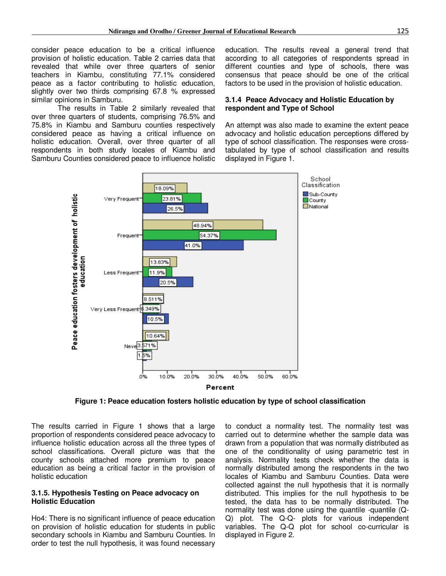consider peace education to be a critical influence provision of holistic education. Table 2 carries data that revealed that while over three quarters of senior teachers in Kiambu, constituting 77.1% considered peace as a factor contributing to holistic education, slightly over two thirds comprising 67.8 % expressed similar opinions in Samburu.

The results in Table 2 similarly revealed that over three quarters of students, comprising 76.5% and 75.8% in Kiambu and Samburu counties respectively considered peace as having a critical influence on holistic education. Overall, over three quarter of all respondents in both study locales of Kiambu and Samburu Counties considered peace to influence holistic

education. The results reveal a general trend that according to all categories of respondents spread in different counties and type of schools, there was consensus that peace should be one of the critical factors to be used in the provision of holistic education.

#### **3.1.4 Peace Advocacy and Holistic Education by respondent and Type of School**

An attempt was also made to examine the extent peace advocacy and holistic education perceptions differed by type of school classification. The responses were crosstabulated by type of school classification and results displayed in Figure 1.



**Figure 1: Peace education fosters holistic education by type of school classification** 

The results carried in Figure 1 shows that a large proportion of respondents considered peace advocacy to influence holistic education across all the three types of school classifications. Overall picture was that the county schools attached more premium to peace education as being a critical factor in the provision of holistic education

#### **3.1.5. Hypothesis Testing on Peace advocacy on Holistic Education**

Ho4: There is no significant influence of peace education on provision of holistic education for students in public secondary schools in Kiambu and Samburu Counties. In order to test the null hypothesis, it was found necessary to conduct a normality test. The normality test was carried out to determine whether the sample data was drawn from a population that was normally distributed as one of the conditionality of using parametric test in analysis. Normality tests check whether the data is normally distributed among the respondents in the two locales of Kiambu and Samburu Counties. Data were collected against the null hypothesis that it is normally distributed. This implies for the null hypothesis to be tested, the data has to be normally distributed. The normality test was done using the quantile -quantile (Q-Q) plot. The Q-Q- plots for various independent variables. The Q-Q plot for school co-curricular is displayed in Figure 2.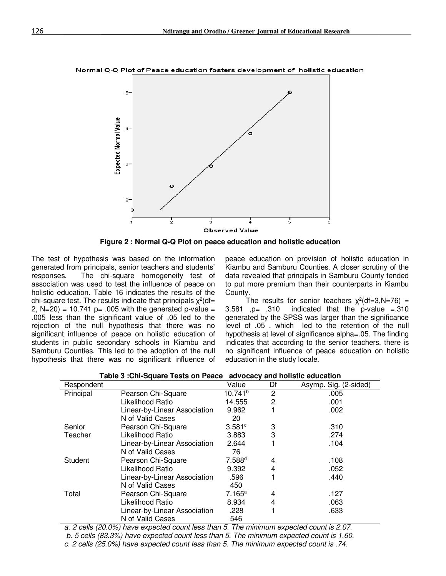

**Figure 2 : Normal Q-Q Plot on peace education and holistic education** 

The test of hypothesis was based on the information generated from principals, senior teachers and students' responses. The chi-square homogeneity test of association was used to test the influence of peace on holistic education. Table 16 indicates the results of the chi-square test. The results indicate that principals  $\chi^2$ (df= 2,  $N=20$  = 10.741 p= .005 with the generated p-value = .005 less than the significant value of .05 led to the rejection of the null hypothesis that there was no significant influence of peace on holistic education of students in public secondary schools in Kiambu and Samburu Counties. This led to the adoption of the null hypothesis that there was no significant influence of

peace education on provision of holistic education in Kiambu and Samburu Counties. A closer scrutiny of the data revealed that principals in Samburu County tended to put more premium than their counterparts in Kiambu County.

The results for senior teachers  $\chi^2$ (df=3,N=76) = 3.581 ,  $p = 0.310$  indicated that the p-value =  $.310$ generated by the SPSS was larger than the significance level of .05 , which led to the retention of the null hypothesis at level of significance alpha=.05. The finding indicates that according to the senior teachers, there is no significant influence of peace education on holistic education in the study locale.

| Respondent |                              | Value                | Df             | Asymp. Sig. (2-sided) |
|------------|------------------------------|----------------------|----------------|-----------------------|
| Principal  | Pearson Chi-Square           | 10.741 <sup>b</sup>  | $\overline{2}$ | .005                  |
|            | Likelihood Ratio             | 14.555               | 2              | .001                  |
|            | Linear-by-Linear Association | 9.962                |                | .002                  |
|            | N of Valid Cases             | 20                   |                |                       |
| Senior     | Pearson Chi-Square           | 3.581c               | 3              | .310                  |
| Teacher    | Likelihood Ratio             | 3.883                | 3              | .274                  |
|            | Linear-by-Linear Association | 2.644                |                | .104                  |
|            | N of Valid Cases             | 76                   |                |                       |
| Student    | Pearson Chi-Square           | $7.588$ <sup>d</sup> | 4              | .108                  |
|            | Likelihood Ratio             | 9.392                | 4              | .052                  |
|            | Linear-by-Linear Association | .596                 |                | .440                  |
|            | N of Valid Cases             | 450                  |                |                       |
| Total      | Pearson Chi-Square           | $7.165^{\rm a}$      | 4              | .127                  |
|            | Likelihood Ratio             | 8.934                | 4              | .063                  |
|            | Linear-by-Linear Association | .228                 |                | .633                  |
|            | N of Valid Cases             | 546                  |                |                       |

| Table 3: Chi-Square Tests on Peace advocacy and holistic education |  |
|--------------------------------------------------------------------|--|
|--------------------------------------------------------------------|--|

*a. 2 cells (20.0%) have expected count less than 5. The minimum expected count is 2.07. b. 5 cells (83.3%) have expected count less than 5. The minimum expected count is 1.60. c. 2 cells (25.0%) have expected count less than 5. The minimum expected count is .74.*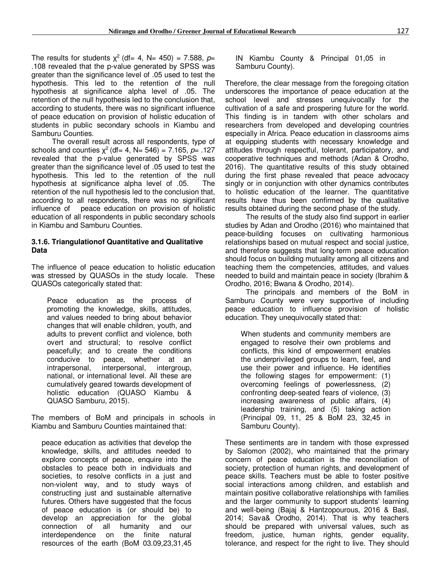The results for students  $\chi^2$  (df= 4, N= 450) = 7.588,  $p=$ .108 revealed that the p-value generated by SPSS was greater than the significance level of .05 used to test the hypothesis. This led to the retention of the null hypothesis at significance alpha level of .05. The retention of the null hypothesis led to the conclusion that, according to students, there was no significant influence of peace education on provision of holistic education of students in public secondary schools in Kiambu and Samburu Counties.

The overall result across all respondents, type of schools and counties  $\chi^2$  (df= 4, N= 546) = 7.165,  $p$ = .127 revealed that the p-value generated by SPSS was greater than the significance level of .05 used to test the hypothesis. This led to the retention of the null hypothesis at significance alpha level of .05. The retention of the null hypothesis led to the conclusion that, according to all respondents, there was no significant influence of peace education on provision of holistic education of all respondents in public secondary schools in Kiambu and Samburu Counties.

#### **3.1.6. Triangulationof Quantitative and Qualitative Data**

The influence of peace education to holistic education was stressed by QUASOs in the study locale. These QUASOs categorically stated that:

Peace education as the process of promoting the knowledge, skills, attitudes, and values needed to bring about behavior changes that will enable children, youth, and adults to prevent conflict and violence, both overt and structural; to resolve conflict peacefully; and to create the conditions conducive to peace, whether at an intrapersonal, interpersonal, intergroup, national, or international level. All these are cumulatively geared towards development of holistic education (QUASO Kiambu & QUASO Samburu, 2015).

The members of BoM and principals in schools in Kiambu and Samburu Counties maintained that:

peace education as activities that develop the knowledge, skills, and attitudes needed to explore concepts of peace, enquire into the obstacles to peace both in individuals and societies, to resolve conflicts in a just and non-violent way, and to study ways of constructing just and sustainable alternative futures. Others have suggested that the focus of peace education is (or should be) to develop an appreciation for the global connection of all humanity and our interdependence on the finite natural resources of the earth (BoM 03.09,23,31,45

IN Kiambu County & Principal 01,05 in Samburu County).

Therefore, the clear message from the foregoing citation underscores the importance of peace education at the school level and stresses unequivocally for the cultivation of a safe and prospering future for the world. This finding is in tandem with other scholars and researchers from developed and developing countries especially in Africa. Peace education in classrooms aims at equipping students with necessary knowledge and attitudes through respectful, tolerant, participatory, and cooperative techniques and methods (Adan & Orodho, 2016). The quantitative results of this study obtained during the first phase revealed that peace advocacy singly or in conjunction with other dynamics contributes to holistic education of the learner. The quantitative results have thus been confirmed by the qualitative results obtained during the second phase of the study.

 The results of the study also find support in earlier studies by Adan and Orodho (2016) who maintained that peace-building focuses on cultivating harmonious relationships based on mutual respect and social justice, and therefore suggests that long-term peace education should focus on building mutuality among all citizens and teaching them the competencies, attitudes, and values needed to build and maintain peace in society (Ibrahim & Orodho, 2016; Bwana & Orodho, 2014).

 The principals and members of the BoM in Samburu County were very supportive of including peace education to influence provision of holistic education. They unequivocally stated that:

When students and community members are engaged to resolve their own problems and conflicts, this kind of empowerment enables the underprivileged groups to learn, feel, and use their power and influence. He identifies the following stages for empowerment: (1) overcoming feelings of powerlessness, (2) confronting deep-seated fears of violence, (3) increasing awareness of public affairs, (4) leadership training, and (5) taking action (Principal 09, 11, 25 & BoM 23, 32,45 in Samburu County).

These sentiments are in tandem with those expressed by Salomon (2002), who maintained that the primary concern of peace education is the reconciliation of society, protection of human rights, and development of peace skills. Teachers must be able to foster positive social interactions among children, and establish and maintain positive collaborative relationships with families and the larger community to support students' learning and well-being (Bajaj & Hantzopourous, 2016 & Basl, 2014; Sava& Orodho, 2014). That is why teachers should be prepared with universal values, such as freedom, justice, human rights, gender equality, tolerance, and respect for the right to live. They should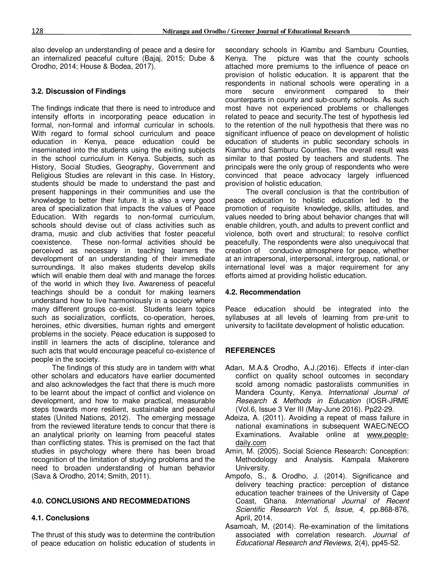also develop an understanding of peace and a desire for an internalized peaceful culture (Bajaj, 2015; Dube & Orodho, 2014; House & Bodea, 2017).

# **3.2. Discussion of Findings**

The findings indicate that there is need to introduce and intensify efforts in incorporating peace education in formal, non-formal and informal curricular in schools. With regard to formal school curriculum and peace education in Kenya, peace education could be inseminated into the students using the exiting subjects in the school curriculum in Kenya. Subjects, such as History, Social Studies, Geography, Government and Religious Studies are relevant in this case. In History, students should be made to understand the past and present happenings in their communities and use the knowledge to better their future. It is also a very good area of specialization that impacts the values of Peace Education. With regards to non-formal curriculum, schools should devise out of class activities such as drama, music and club activities that foster peaceful coexistence. These non-formal activities should be perceived as necessary in teaching learners the development of an understanding of their immediate surroundings. It also makes students develop skills which will enable them deal with and manage the forces of the world in which they live. Awareness of peaceful teachings should be a conduit for making learners understand how to live harmoniously in a society where many different groups co-exist. Students learn topics such as socialization, conflicts, co-operation, heroes, heroines, ethic diversities, human rights and emergent problems in the society. Peace education is supposed to instill in learners the acts of discipline, tolerance and such acts that would encourage peaceful co-existence of people in the society.

The findings of this study are in tandem with what other scholars and educators have earlier documented and also acknowledges the fact that there is much more to be learnt about the impact of conflict and violence on development, and how to make practical, measurable steps towards more resilient, sustainable and peaceful states (United Nations, 2012). The emerging message from the reviewed literature tends to concur that there is an analytical priority on learning from peaceful states than conflicting states. This is premised on the fact that studies in psychology where there has been broad recognition of the limitation of studying problems and the need to broaden understanding of human behavior (Sava & Orodho, 2014; Smith, 2011).

# **4.0. CONCLUSIONS AND RECOMMEDATIONS**

# **4.1. Conclusions**

The thrust of this study was to determine the contribution of peace education on holistic education of students in

secondary schools in Kiambu and Samburu Counties,<br>Kenya. The picture was that the county schools picture was that the county schools attached more premiums to the influence of peace on provision of holistic education. It is apparent that the respondents in national schools were operating in a<br>more secure environment compared to their environment compared to their counterparts in county and sub-county schools. As such most have not experienced problems or challenges related to peace and security.The test of hypothesis led to the retention of the null hypothesis that there was no significant influence of peace on development of holistic education of students in public secondary schools in Kiambu and Samburu Counties. The overall result was similar to that posted by teachers and students. The principals were the only group of respondents who were convinced that peace advocacy largely influenced provision of holistic education.

The overall conclusion is that the contribution of peace education to holistic education led to the promotion of requisite knowledge, skills, attitudes, and values needed to bring about behavior changes that will enable children, youth, and adults to prevent conflict and violence, both overt and structural; to resolve conflict peacefully. The respondents were also unequivocal that creation of conducive atmosphere for peace, whether at an intrapersonal, interpersonal, intergroup, national, or international level was a major requirement for any efforts aimed at providing holistic education.

# **4.2. Recommendation**

Peace education should be integrated into the syllabuses at all levels of learning from pre-unit to university to facilitate development of holistic education.

# **REFERENCES**

- Adan, M.A.& Orodho, A.J.(2016). Effects if inter-clan conflict on quality school outcomes in secondary scold among nomadic pastoralists communities in Mandera County, Kenya. *International Journal of Research & Methods in Education* (IOSR-JRME (Vol.6, Issue 3 Ver III (May-June 2016). Pp22-29.
- Adeiza, A. (2011). Avoiding a repeat of mass failure in national examinations in subsequent WAEC/NECO Examinations. Available online at www.peopledaily.com
- Amin, M. (2005). Social Science Research: Conception: Methodology and Analysis. Kampala Makerere University.
- Ampofo, S., & Orodho, J. (2014). Significance and delivery teaching practice: perception of distance education teacher trainees of the University of Cape Coast, Ghana. *International Journal of Recent Scientific Research Vol. 5, Issue, 4,* pp.868-876, April, 2014.
- Asamoah, M, (2014). Re-examination of the limitations associated with correlation research. *Journal of Educational Research and Reviews*, 2(4), pp45-52.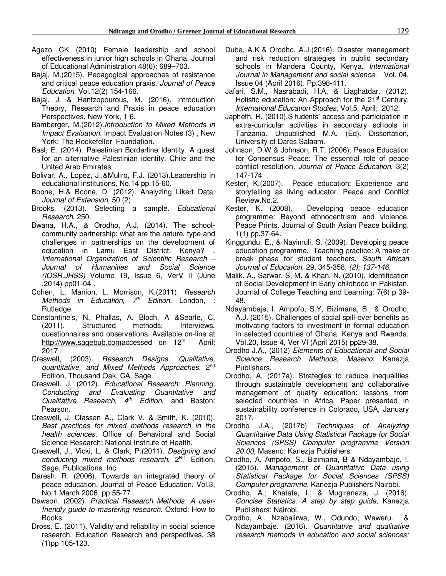- Agezo CK (2010) Female leadership and school effectiveness in junior high schools in Ghana. Journal of Educational Administration 48(6): 689–703.
- Bajaj, M.(2015). Pedagogical approaches of resistance and critical peace education praxis. *Journal of Peace Education*. Vol.12(2) 154-166.
- Bajaj. J. & Hantzopourous, M. (2016). Introduction Theory, Research and Praxis in peace education Perspectives, New York, 1-6.
- Bamberger, M.(2012).*Introduction to Mixed Methods in Impact Evaluation*. Impact Evaluation Notes (3) , New York: The Rockefeller Foundation.
- Basl, E. (2014). Palestinian Borderline Identity. A quest for an alternative Palestinian identity. Chile and the United Arab Emirates.
- Bolivar, A., Lopez, J.,&Muliro, F.J. (2013).Leadership in educational institutions, No.14 pp.15-60.
- Boone, H.& Boone, D. (2012). Analyzing Likert Data. *Journal of Extension*, 50 (2) .
- Brooks. (2013). Selecting a sample*. Educational Research*. 250.
- Bwana, H.A., & Orodho, A.J. (2014). The schoolcommunity partnership: what are the nature, type and challenges in partnerships on the development of education in Lamu East District, Kenya? *International Organization of Scientific Research – Journal of Humanities and Social Science (IOSR.JHSS)* Volume 19, Issue 6, VerV II (June ,2014) pp01-04 .
- Cohen, L, Manion, L. Morrison, K.(2011). *Research Methods in Education, 7th Edition,* London, : Rutledge.
- Constantine's, N, Phallas, A. Bloch, A &Searle, C. (2011). Structured methods: Interviews, questionnaires and observations. Available on-line at http://www.sagebub.comaccessed on 12<sup>th</sup> April; 2017 .
- Creswell, (2003). *Research Designs: Qualitative, quantitative, and Mixed Methods Approaches*, 2nd Edition, Thousand Oak, CA, Sage.
- Creswell. J. (2012). *Educational Research: Planning, Conducting and Evaluating Quantitative and Qualitative Research, 4th Edition*, and Boston: Pearson.
- Creswell, J, Classen A., Clark V. & Smith, K. (2010). *Best practices for mixed methods research in the health sciences.* Office of Behavioral and Social Science Research: National Institute of Health.
- Creswell, J., Vicki, L. & Clark, P.(2011). *Designing and*  conducting mixed methods research, 2<sup>ND</sup> Edition, Sage, Publications, Inc.
- Daresh. R. (2006). Towards an integrated theory of peace education. Journal of Peace Education. Vol.3, No.1 March 2006, pp.55-77
- Dawson. (2002). *Practical Research Methods: A userfriendly guide to mastering research*. Oxford: How to Books.
- Dross, E. (2011). Validity and reliability in social science research. Education Research and perspectives, 38 (1)pp 105-123.
- Dube, A.K & Orodho, A.J.(2016). Disaster management and risk reduction strategies in public secondary schools in Mandera County, Kenya. *International Journal in Management and social science.* Vol. 04, Issue 04 (April 2016). Pp.398-411.
- Jafari, S.M., Nasrabadi, H.A, & Liaghatdar. (2012). Holistic education: An Approach for the 21<sup>st</sup> Century. *International Education Studies*, Vol.5, April; 2012.
- Japheth, R. (2010).S tudents' access and participation in extra-curricular activities in secondary schools in Tanzania. Unpublished M.A. (Ed). Dissertation, University of Dares Salaam.
- Johnson, D.W & Johnson, R.T. (2006). Peace Education for Consensus Peace: The essential role of peace conflict resolution. *Journal of Peace Education*. 3(2) 147-174
- Kester, K.(2007). Peace education: Experience and storytelling as living educator. Peace and Conflict Review.No.2.
- Kester, K. (2008). Developing peace education programme: Beyond ethnocentrism and violence. Peace Prints. Journal of South Asian Peace building. 1(1) pp.37-64.
- Kinggundu, E., & Nayimuli, S. (2009). Developing peace education programme. Teaching practice: A make or break phase for student teachers. *South African Journal of Education*, 29, 345-358. *(2); 137-146.*
- Malik. A., Sarwar, S, M. & Khan, N. (2010). Identification of Social Development in Early childhood in Pakistan, Journal of College Teaching and Learning: 7(6) p 39- 48.
- Ndayambaje, I. Ampofo, S.Y, Bizimana, B., & Orodho, A.J. (2015). Challenges of social spill-over benefits as motivating factors to investment in formal education in selected countries of Ghana, Kenya and Rwanda. Vol.20, Issue 4, Ver VI (April 2015) pp29-38.
- Orodho J.A., (2012) *Elements of Educational and Social Science Research Methods, Maseno*: Kanezja Publishers.
- Orodho, A. (2017a). Strategies to reduce inequalities through sustainable development and collaborative management of quality education: lessons from selected countries in Africa. Paper presented in sustainability conference in Colorado, USA, January 2017.
- Orodho J.A., (2017b) *Techniques of Analyzing Quantitative Data Using Statistical Package for Social Sciences (SPSS) Computer programme Version 20.00*, Maseno: Kanezja Publishers.
- Orodho, A, Ampofo, S., Bizimana, B & Ndayambaje, I. (2015). *Management of Quantitative Data using Statistical Package for Social Sciences (SPSS) Computer programme*, Kanezja Publishers Nairobi.
- Orodho, A.; Khatete, I.; & Mugiraneza, J. (2016). *Concise Statistics: A step by step guide,* Kanezja Publishers; Nairobi.
- Orodho, A., Nzabalirwa, W., Odundo; Waweru. & Ndayambaje. (2016). *Quantitative and qualitative research methods in education and social sciences:*